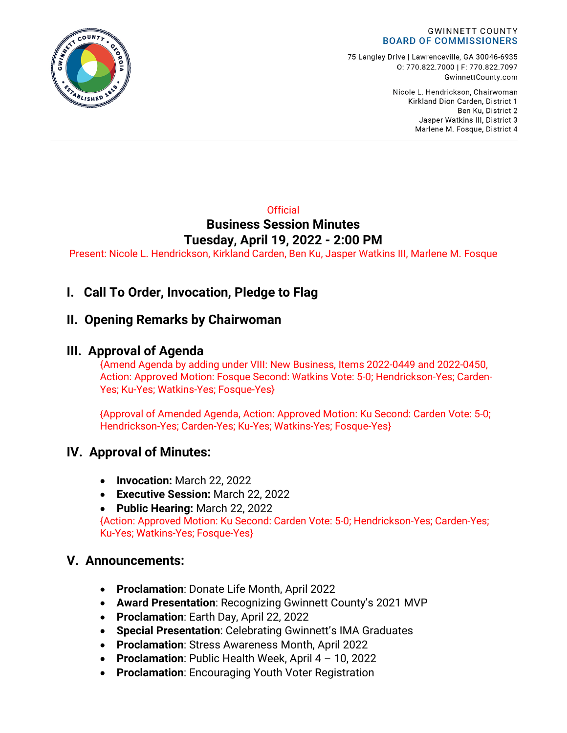

75 Langley Drive | Lawrenceville, GA 30046-6935 0:770.822.7000 | F: 770.822.7097 GwinnettCounty.com

> Nicole L. Hendrickson, Chairwoman Kirkland Dion Carden, District 1 Ben Ku. District 2 Jasper Watkins III, District 3 Marlene M. Fosque, District 4

### **Official Business Session Minutes Tuesday, April 19, 2022 - 2:00 PM**

Present: Nicole L. Hendrickson, Kirkland Carden, Ben Ku, Jasper Watkins III, Marlene M. Fosque

# **I. Call To Order, Invocation, Pledge to Flag**

# **II. Opening Remarks by Chairwoman**

# **III. Approval of Agenda**

{Amend Agenda by adding under VIII: New Business, Items 2022-0449 and 2022-0450, Action: Approved Motion: Fosque Second: Watkins Vote: 5-0; Hendrickson-Yes; Carden-Yes; Ku-Yes; Watkins-Yes; Fosque-Yes}

{Approval of Amended Agenda, Action: Approved Motion: Ku Second: Carden Vote: 5-0; Hendrickson-Yes; Carden-Yes; Ku-Yes; Watkins-Yes; Fosque-Yes}

# **IV. Approval of Minutes:**

- **Invocation:** March 22, 2022
- **Executive Session:** March 22, 2022
- **Public Hearing:** March 22, 2022

{Action: Approved Motion: Ku Second: Carden Vote: 5-0; Hendrickson-Yes; Carden-Yes; Ku-Yes; Watkins-Yes; Fosque-Yes}

### **V. Announcements:**

- **Proclamation**: Donate Life Month, April 2022
- **Award Presentation**: Recognizing Gwinnett County's 2021 MVP
- **Proclamation**: Earth Day, April 22, 2022
- **Special Presentation**: Celebrating Gwinnett's IMA Graduates
- **Proclamation**: Stress Awareness Month, April 2022
- **Proclamation**: Public Health Week, April 4 10, 2022
- **Proclamation**: Encouraging Youth Voter Registration

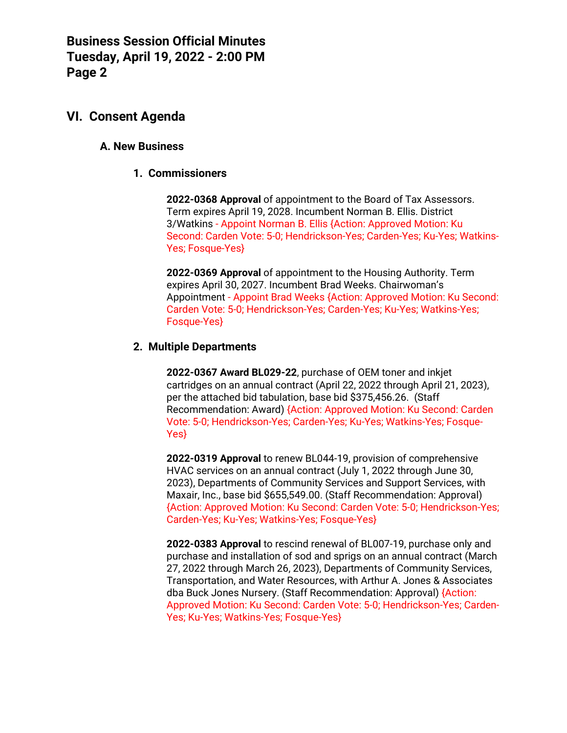### **VI. Consent Agenda**

#### **A. New Business**

#### **1. Commissioners**

**2022-0368 Approval** of appointment to the Board of Tax Assessors. Term expires April 19, 2028. Incumbent Norman B. Ellis. District 3/Watkins - Appoint Norman B. Ellis {Action: Approved Motion: Ku Second: Carden Vote: 5-0; Hendrickson-Yes; Carden-Yes; Ku-Yes; Watkins-Yes; Fosque-Yes}

**2022-0369 Approval** of appointment to the Housing Authority. Term expires April 30, 2027. Incumbent Brad Weeks. Chairwoman's Appointment - Appoint Brad Weeks {Action: Approved Motion: Ku Second: Carden Vote: 5-0; Hendrickson-Yes; Carden-Yes; Ku-Yes; Watkins-Yes; Fosque-Yes}

#### **2. Multiple Departments**

**2022-0367 Award BL029-22**, purchase of OEM toner and inkjet cartridges on an annual contract (April 22, 2022 through April 21, 2023), per the attached bid tabulation, base bid \$375,456.26. (Staff Recommendation: Award) {Action: Approved Motion: Ku Second: Carden Vote: 5-0; Hendrickson-Yes; Carden-Yes; Ku-Yes; Watkins-Yes; Fosque-Yes}

**2022-0319 Approval** to renew BL044-19, provision of comprehensive HVAC services on an annual contract (July 1, 2022 through June 30, 2023), Departments of Community Services and Support Services, with Maxair, Inc., base bid \$655,549.00. (Staff Recommendation: Approval) {Action: Approved Motion: Ku Second: Carden Vote: 5-0; Hendrickson-Yes; Carden-Yes; Ku-Yes; Watkins-Yes; Fosque-Yes}

**2022-0383 Approval** to rescind renewal of BL007-19, purchase only and purchase and installation of sod and sprigs on an annual contract (March 27, 2022 through March 26, 2023), Departments of Community Services, Transportation, and Water Resources, with Arthur A. Jones & Associates dba Buck Jones Nursery. (Staff Recommendation: Approval) {Action: Approved Motion: Ku Second: Carden Vote: 5-0; Hendrickson-Yes; Carden-Yes; Ku-Yes; Watkins-Yes; Fosque-Yes}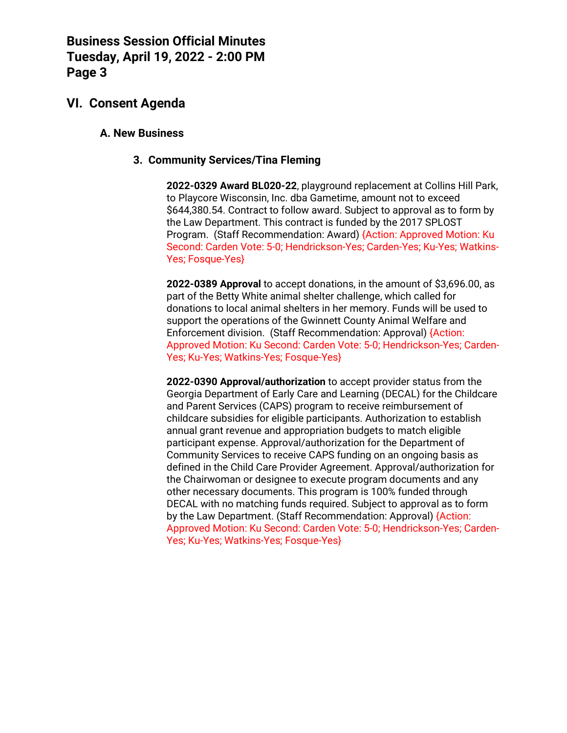# **VI. Consent Agenda**

#### **A. New Business**

#### **3. Community Services/Tina Fleming**

**2022-0329 Award BL020-22**, playground replacement at Collins Hill Park, to Playcore Wisconsin, Inc. dba Gametime, amount not to exceed \$644,380.54. Contract to follow award. Subject to approval as to form by the Law Department. This contract is funded by the 2017 SPLOST Program. (Staff Recommendation: Award) {Action: Approved Motion: Ku Second: Carden Vote: 5-0; Hendrickson-Yes; Carden-Yes; Ku-Yes; Watkins-Yes; Fosque-Yes}

**2022-0389 Approval** to accept donations, in the amount of \$3,696.00, as part of the Betty White animal shelter challenge, which called for donations to local animal shelters in her memory. Funds will be used to support the operations of the Gwinnett County Animal Welfare and Enforcement division. (Staff Recommendation: Approval) {Action: Approved Motion: Ku Second: Carden Vote: 5-0; Hendrickson-Yes; Carden-Yes; Ku-Yes; Watkins-Yes; Fosque-Yes}

**2022-0390 Approval/authorization** to accept provider status from the Georgia Department of Early Care and Learning (DECAL) for the Childcare and Parent Services (CAPS) program to receive reimbursement of childcare subsidies for eligible participants. Authorization to establish annual grant revenue and appropriation budgets to match eligible participant expense. Approval/authorization for the Department of Community Services to receive CAPS funding on an ongoing basis as defined in the Child Care Provider Agreement. Approval/authorization for the Chairwoman or designee to execute program documents and any other necessary documents. This program is 100% funded through DECAL with no matching funds required. Subject to approval as to form by the Law Department. (Staff Recommendation: Approval) {Action: Approved Motion: Ku Second: Carden Vote: 5-0; Hendrickson-Yes; Carden-Yes; Ku-Yes; Watkins-Yes; Fosque-Yes}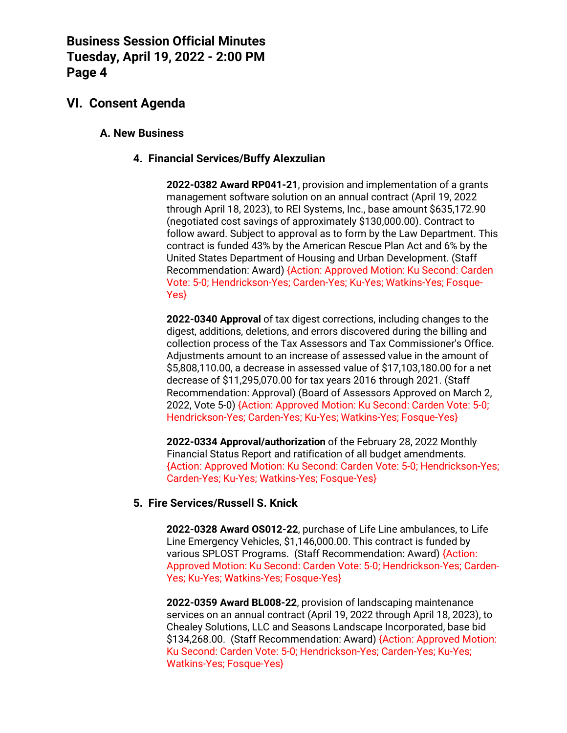## **VI. Consent Agenda**

#### **A. New Business**

#### **4. Financial Services/Buffy Alexzulian**

**2022-0382 Award RP041-21**, provision and implementation of a grants management software solution on an annual contract (April 19, 2022 through April 18, 2023), to REI Systems, Inc., base amount \$635,172.90 (negotiated cost savings of approximately \$130,000.00). Contract to follow award. Subject to approval as to form by the Law Department. This contract is funded 43% by the American Rescue Plan Act and 6% by the United States Department of Housing and Urban Development. (Staff Recommendation: Award) {Action: Approved Motion: Ku Second: Carden Vote: 5-0; Hendrickson-Yes; Carden-Yes; Ku-Yes; Watkins-Yes; Fosque-Yes}

**2022-0340 Approval** of tax digest corrections, including changes to the digest, additions, deletions, and errors discovered during the billing and collection process of the Tax Assessors and Tax Commissioner's Office. Adjustments amount to an increase of assessed value in the amount of \$5,808,110.00, a decrease in assessed value of \$17,103,180.00 for a net decrease of \$11,295,070.00 for tax years 2016 through 2021. (Staff Recommendation: Approval) (Board of Assessors Approved on March 2, 2022, Vote 5-0) {Action: Approved Motion: Ku Second: Carden Vote: 5-0; Hendrickson-Yes; Carden-Yes; Ku-Yes; Watkins-Yes; Fosque-Yes}

**2022-0334 Approval/authorization** of the February 28, 2022 Monthly Financial Status Report and ratification of all budget amendments. {Action: Approved Motion: Ku Second: Carden Vote: 5-0; Hendrickson-Yes; Carden-Yes; Ku-Yes; Watkins-Yes; Fosque-Yes}

#### **5. Fire Services/Russell S. Knick**

**2022-0328 Award OS012-22**, purchase of Life Line ambulances, to Life Line Emergency Vehicles, \$1,146,000.00. This contract is funded by various SPLOST Programs. (Staff Recommendation: Award) {Action: Approved Motion: Ku Second: Carden Vote: 5-0; Hendrickson-Yes; Carden-Yes; Ku-Yes; Watkins-Yes; Fosque-Yes}

**2022-0359 Award BL008-22**, provision of landscaping maintenance services on an annual contract (April 19, 2022 through April 18, 2023), to Chealey Solutions, LLC and Seasons Landscape Incorporated, base bid \$134,268.00. (Staff Recommendation: Award) {Action: Approved Motion: Ku Second: Carden Vote: 5-0; Hendrickson-Yes; Carden-Yes; Ku-Yes; Watkins-Yes; Fosque-Yes}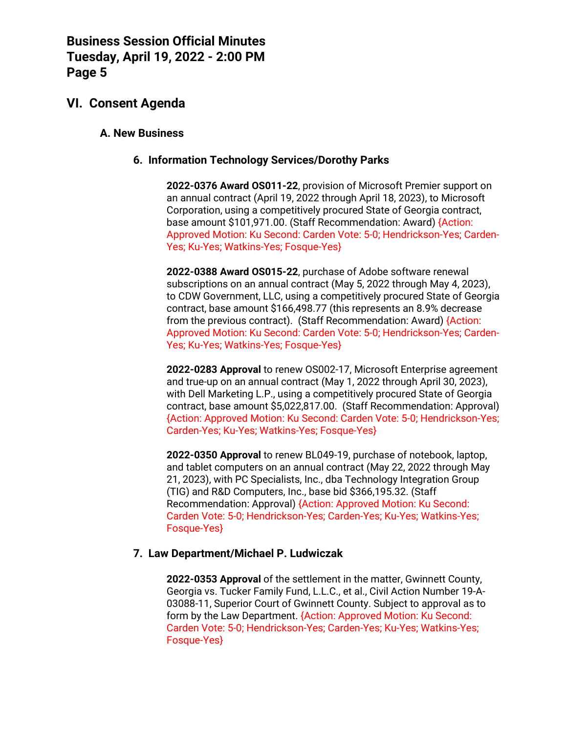## **VI. Consent Agenda**

#### **A. New Business**

#### **6. Information Technology Services/Dorothy Parks**

**2022-0376 Award OS011-22**, provision of Microsoft Premier support on an annual contract (April 19, 2022 through April 18, 2023), to Microsoft Corporation, using a competitively procured State of Georgia contract, base amount \$101,971.00. (Staff Recommendation: Award) {Action: Approved Motion: Ku Second: Carden Vote: 5-0; Hendrickson-Yes; Carden-Yes; Ku-Yes; Watkins-Yes; Fosque-Yes}

**2022-0388 Award OS015-22**, purchase of Adobe software renewal subscriptions on an annual contract (May 5, 2022 through May 4, 2023), to CDW Government, LLC, using a competitively procured State of Georgia contract, base amount \$166,498.77 (this represents an 8.9% decrease from the previous contract). (Staff Recommendation: Award) {Action: Approved Motion: Ku Second: Carden Vote: 5-0; Hendrickson-Yes; Carden-Yes; Ku-Yes; Watkins-Yes; Fosque-Yes}

**2022-0283 Approval** to renew OS002-17, Microsoft Enterprise agreement and true-up on an annual contract (May 1, 2022 through April 30, 2023), with Dell Marketing L.P., using a competitively procured State of Georgia contract, base amount \$5,022,817.00. (Staff Recommendation: Approval) {Action: Approved Motion: Ku Second: Carden Vote: 5-0; Hendrickson-Yes; Carden-Yes; Ku-Yes; Watkins-Yes; Fosque-Yes}

**2022-0350 Approval** to renew BL049-19, purchase of notebook, laptop, and tablet computers on an annual contract (May 22, 2022 through May 21, 2023), with PC Specialists, Inc., dba Technology Integration Group (TIG) and R&D Computers, Inc., base bid \$366,195.32. (Staff Recommendation: Approval) {Action: Approved Motion: Ku Second: Carden Vote: 5-0; Hendrickson-Yes; Carden-Yes; Ku-Yes; Watkins-Yes; Fosque-Yes}

#### **7. Law Department/Michael P. Ludwiczak**

**2022-0353 Approval** of the settlement in the matter, Gwinnett County, Georgia vs. Tucker Family Fund, L.L.C., et al., Civil Action Number 19-A-03088-11, Superior Court of Gwinnett County. Subject to approval as to form by the Law Department. {Action: Approved Motion: Ku Second: Carden Vote: 5-0; Hendrickson-Yes; Carden-Yes; Ku-Yes; Watkins-Yes; Fosque-Yes}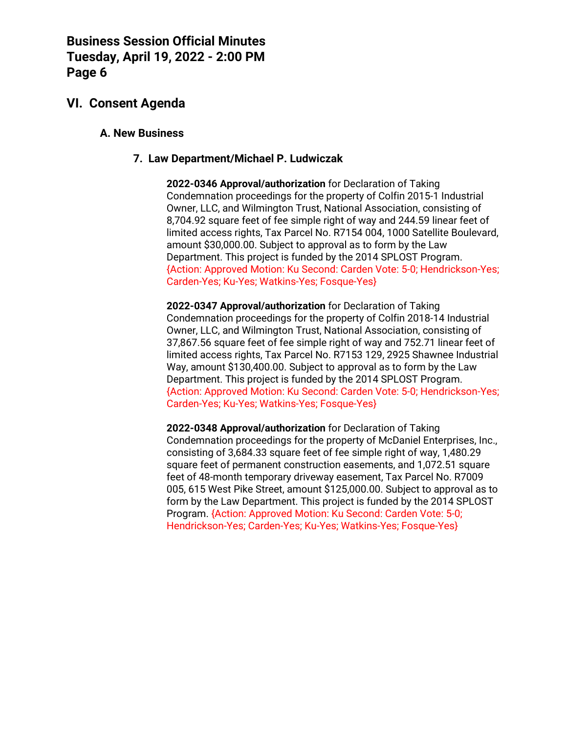# **VI. Consent Agenda**

#### **A. New Business**

#### **7. Law Department/Michael P. Ludwiczak**

**2022-0346 Approval/authorization** for Declaration of Taking Condemnation proceedings for the property of Colfin 2015-1 Industrial Owner, LLC, and Wilmington Trust, National Association, consisting of 8,704.92 square feet of fee simple right of way and 244.59 linear feet of limited access rights, Tax Parcel No. R7154 004, 1000 Satellite Boulevard, amount \$30,000.00. Subject to approval as to form by the Law Department. This project is funded by the 2014 SPLOST Program. {Action: Approved Motion: Ku Second: Carden Vote: 5-0; Hendrickson-Yes; Carden-Yes; Ku-Yes; Watkins-Yes; Fosque-Yes}

**2022-0347 Approval/authorization** for Declaration of Taking Condemnation proceedings for the property of Colfin 2018-14 Industrial Owner, LLC, and Wilmington Trust, National Association, consisting of 37,867.56 square feet of fee simple right of way and 752.71 linear feet of limited access rights, Tax Parcel No. R7153 129, 2925 Shawnee Industrial Way, amount \$130,400.00. Subject to approval as to form by the Law Department. This project is funded by the 2014 SPLOST Program. {Action: Approved Motion: Ku Second: Carden Vote: 5-0; Hendrickson-Yes; Carden-Yes; Ku-Yes; Watkins-Yes; Fosque-Yes}

**2022-0348 Approval/authorization** for Declaration of Taking Condemnation proceedings for the property of McDaniel Enterprises, Inc., consisting of 3,684.33 square feet of fee simple right of way, 1,480.29 square feet of permanent construction easements, and 1,072.51 square feet of 48-month temporary driveway easement, Tax Parcel No. R7009 005, 615 West Pike Street, amount \$125,000.00. Subject to approval as to form by the Law Department. This project is funded by the 2014 SPLOST Program. {Action: Approved Motion: Ku Second: Carden Vote: 5-0; Hendrickson-Yes; Carden-Yes; Ku-Yes; Watkins-Yes; Fosque-Yes}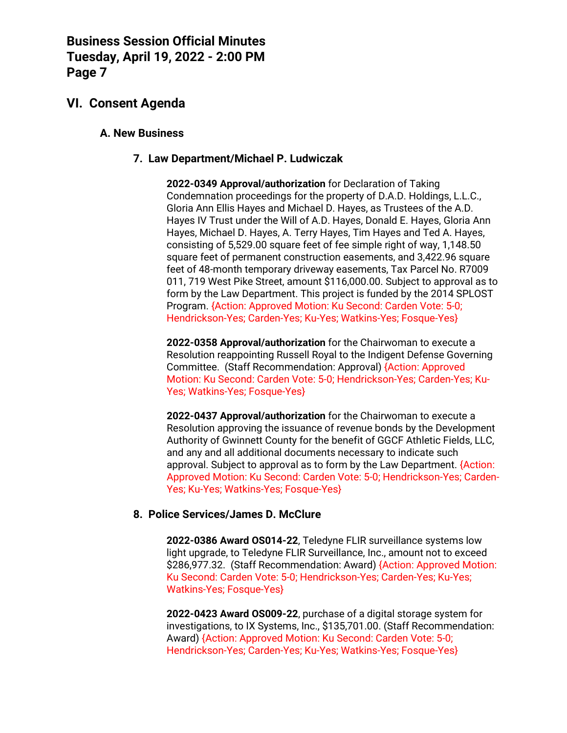## **VI. Consent Agenda**

#### **A. New Business**

#### **7. Law Department/Michael P. Ludwiczak**

**2022-0349 Approval/authorization** for Declaration of Taking Condemnation proceedings for the property of D.A.D. Holdings, L.L.C., Gloria Ann Ellis Hayes and Michael D. Hayes, as Trustees of the A.D. Hayes IV Trust under the Will of A.D. Hayes, Donald E. Hayes, Gloria Ann Hayes, Michael D. Hayes, A. Terry Hayes, Tim Hayes and Ted A. Hayes, consisting of 5,529.00 square feet of fee simple right of way, 1,148.50 square feet of permanent construction easements, and 3,422.96 square feet of 48-month temporary driveway easements, Tax Parcel No. R7009 011, 719 West Pike Street, amount \$116,000.00. Subject to approval as to form by the Law Department. This project is funded by the 2014 SPLOST Program. {Action: Approved Motion: Ku Second: Carden Vote: 5-0; Hendrickson-Yes; Carden-Yes; Ku-Yes; Watkins-Yes; Fosque-Yes}

**2022-0358 Approval/authorization** for the Chairwoman to execute a Resolution reappointing Russell Royal to the Indigent Defense Governing Committee. (Staff Recommendation: Approval) {Action: Approved Motion: Ku Second: Carden Vote: 5-0; Hendrickson-Yes; Carden-Yes; Ku-Yes; Watkins-Yes; Fosque-Yes}

**2022-0437 Approval/authorization** for the Chairwoman to execute a Resolution approving the issuance of revenue bonds by the Development Authority of Gwinnett County for the benefit of GGCF Athletic Fields, LLC, and any and all additional documents necessary to indicate such approval. Subject to approval as to form by the Law Department. {Action: Approved Motion: Ku Second: Carden Vote: 5-0; Hendrickson-Yes; Carden-Yes; Ku-Yes; Watkins-Yes; Fosque-Yes}

#### **8. Police Services/James D. McClure**

**2022-0386 Award OS014-22**, Teledyne FLIR surveillance systems low light upgrade, to Teledyne FLIR Surveillance, Inc., amount not to exceed \$286,977.32. (Staff Recommendation: Award) {Action: Approved Motion: Ku Second: Carden Vote: 5-0; Hendrickson-Yes; Carden-Yes; Ku-Yes; Watkins-Yes; Fosque-Yes}

**2022-0423 Award OS009-22**, purchase of a digital storage system for investigations, to IX Systems, Inc., \$135,701.00. (Staff Recommendation: Award) {Action: Approved Motion: Ku Second: Carden Vote: 5-0; Hendrickson-Yes; Carden-Yes; Ku-Yes; Watkins-Yes; Fosque-Yes}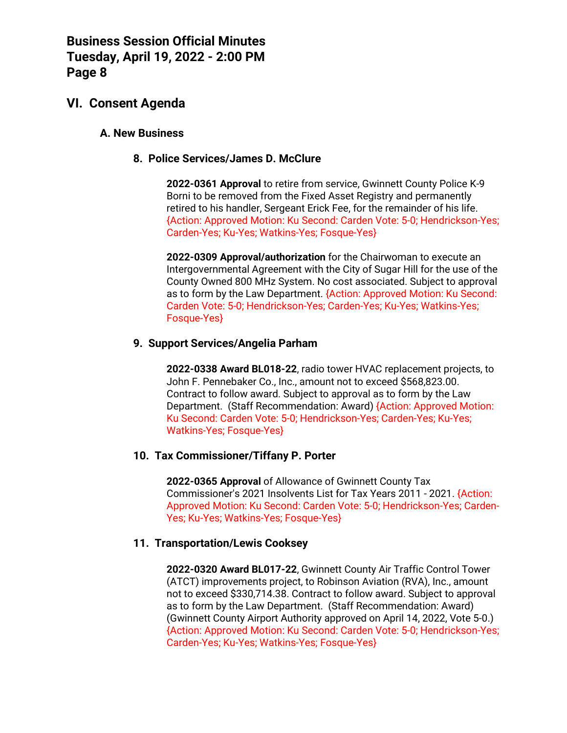## **VI. Consent Agenda**

#### **A. New Business**

#### **8. Police Services/James D. McClure**

**2022-0361 Approval** to retire from service, Gwinnett County Police K-9 Borni to be removed from the Fixed Asset Registry and permanently retired to his handler, Sergeant Erick Fee, for the remainder of his life. {Action: Approved Motion: Ku Second: Carden Vote: 5-0; Hendrickson-Yes; Carden-Yes; Ku-Yes; Watkins-Yes; Fosque-Yes}

**2022-0309 Approval/authorization** for the Chairwoman to execute an Intergovernmental Agreement with the City of Sugar Hill for the use of the County Owned 800 MHz System. No cost associated. Subject to approval as to form by the Law Department. {Action: Approved Motion: Ku Second: Carden Vote: 5-0; Hendrickson-Yes; Carden-Yes; Ku-Yes; Watkins-Yes; Fosque-Yes}

#### **9. Support Services/Angelia Parham**

**2022-0338 Award BL018-22**, radio tower HVAC replacement projects, to John F. Pennebaker Co., Inc., amount not to exceed \$568,823.00. Contract to follow award. Subject to approval as to form by the Law Department. (Staff Recommendation: Award) {Action: Approved Motion: Ku Second: Carden Vote: 5-0; Hendrickson-Yes; Carden-Yes; Ku-Yes; Watkins-Yes; Fosque-Yes}

#### **10. Tax Commissioner/Tiffany P. Porter**

**2022-0365 Approval** of Allowance of Gwinnett County Tax Commissioner's 2021 Insolvents List for Tax Years 2011 - 2021. {Action: Approved Motion: Ku Second: Carden Vote: 5-0; Hendrickson-Yes; Carden-Yes; Ku-Yes; Watkins-Yes; Fosque-Yes}

#### **11. Transportation/Lewis Cooksey**

**2022-0320 Award BL017-22**, Gwinnett County Air Traffic Control Tower (ATCT) improvements project, to Robinson Aviation (RVA), Inc., amount not to exceed \$330,714.38. Contract to follow award. Subject to approval as to form by the Law Department. (Staff Recommendation: Award) (Gwinnett County Airport Authority approved on April 14, 2022, Vote 5-0.) {Action: Approved Motion: Ku Second: Carden Vote: 5-0; Hendrickson-Yes; Carden-Yes; Ku-Yes; Watkins-Yes; Fosque-Yes}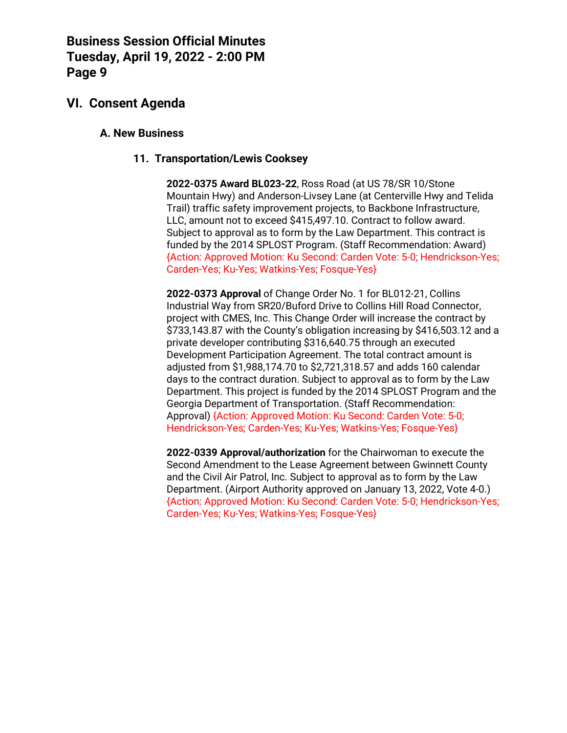# **VI. Consent Agenda**

#### **A. New Business**

#### **11. Transportation/Lewis Cooksey**

**2022-0375 Award BL023-22**, Ross Road (at US 78/SR 10/Stone Mountain Hwy) and Anderson-Livsey Lane (at Centerville Hwy and Telida Trail) traffic safety improvement projects, to Backbone Infrastructure, LLC, amount not to exceed \$415,497.10. Contract to follow award. Subject to approval as to form by the Law Department. This contract is funded by the 2014 SPLOST Program. (Staff Recommendation: Award) {Action: Approved Motion: Ku Second: Carden Vote: 5-0; Hendrickson-Yes; Carden-Yes; Ku-Yes; Watkins-Yes; Fosque-Yes}

**2022-0373 Approval** of Change Order No. 1 for BL012-21, Collins Industrial Way from SR20/Buford Drive to Collins Hill Road Connector, project with CMES, Inc. This Change Order will increase the contract by \$733,143.87 with the County's obligation increasing by \$416,503.12 and a private developer contributing \$316,640.75 through an executed Development Participation Agreement. The total contract amount is adjusted from \$1,988,174.70 to \$2,721,318.57 and adds 160 calendar days to the contract duration. Subject to approval as to form by the Law Department. This project is funded by the 2014 SPLOST Program and the Georgia Department of Transportation. (Staff Recommendation: Approval) {Action: Approved Motion: Ku Second: Carden Vote: 5-0; Hendrickson-Yes; Carden-Yes; Ku-Yes; Watkins-Yes; Fosque-Yes}

**2022-0339 Approval/authorization** for the Chairwoman to execute the Second Amendment to the Lease Agreement between Gwinnett County and the Civil Air Patrol, Inc. Subject to approval as to form by the Law Department. (Airport Authority approved on January 13, 2022, Vote 4-0.) {Action: Approved Motion: Ku Second: Carden Vote: 5-0; Hendrickson-Yes; Carden-Yes; Ku-Yes; Watkins-Yes; Fosque-Yes}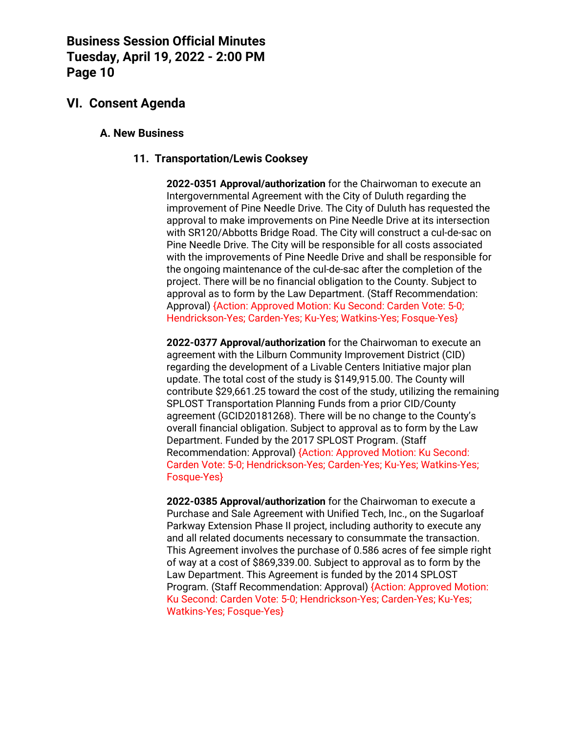## **VI. Consent Agenda**

#### **A. New Business**

#### **11. Transportation/Lewis Cooksey**

**2022-0351 Approval/authorization** for the Chairwoman to execute an Intergovernmental Agreement with the City of Duluth regarding the improvement of Pine Needle Drive. The City of Duluth has requested the approval to make improvements on Pine Needle Drive at its intersection with SR120/Abbotts Bridge Road. The City will construct a cul-de-sac on Pine Needle Drive. The City will be responsible for all costs associated with the improvements of Pine Needle Drive and shall be responsible for the ongoing maintenance of the cul-de-sac after the completion of the project. There will be no financial obligation to the County. Subject to approval as to form by the Law Department. (Staff Recommendation: Approval) {Action: Approved Motion: Ku Second: Carden Vote: 5-0; Hendrickson-Yes; Carden-Yes; Ku-Yes; Watkins-Yes; Fosque-Yes}

**2022-0377 Approval/authorization** for the Chairwoman to execute an agreement with the Lilburn Community Improvement District (CID) regarding the development of a Livable Centers Initiative major plan update. The total cost of the study is \$149,915.00. The County will contribute \$29,661.25 toward the cost of the study, utilizing the remaining SPLOST Transportation Planning Funds from a prior CID/County agreement (GCID20181268). There will be no change to the County's overall financial obligation. Subject to approval as to form by the Law Department. Funded by the 2017 SPLOST Program. (Staff Recommendation: Approval) {Action: Approved Motion: Ku Second: Carden Vote: 5-0; Hendrickson-Yes; Carden-Yes; Ku-Yes; Watkins-Yes; Fosque-Yes}

**2022-0385 Approval/authorization** for the Chairwoman to execute a Purchase and Sale Agreement with Unified Tech, Inc., on the Sugarloaf Parkway Extension Phase II project, including authority to execute any and all related documents necessary to consummate the transaction. This Agreement involves the purchase of 0.586 acres of fee simple right of way at a cost of \$869,339.00. Subject to approval as to form by the Law Department. This Agreement is funded by the 2014 SPLOST Program. (Staff Recommendation: Approval) {Action: Approved Motion: Ku Second: Carden Vote: 5-0; Hendrickson-Yes; Carden-Yes; Ku-Yes; Watkins-Yes; Fosque-Yes}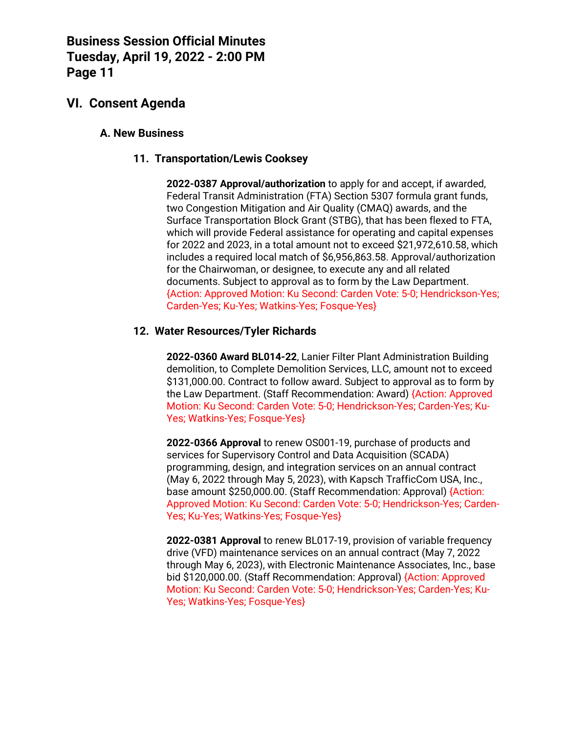## **VI. Consent Agenda**

#### **A. New Business**

#### **11. Transportation/Lewis Cooksey**

**2022-0387 Approval/authorization** to apply for and accept, if awarded, Federal Transit Administration (FTA) Section 5307 formula grant funds, two Congestion Mitigation and Air Quality (CMAQ) awards, and the Surface Transportation Block Grant (STBG), that has been flexed to FTA, which will provide Federal assistance for operating and capital expenses for 2022 and 2023, in a total amount not to exceed \$21,972,610.58, which includes a required local match of \$6,956,863.58. Approval/authorization for the Chairwoman, or designee, to execute any and all related documents. Subject to approval as to form by the Law Department. {Action: Approved Motion: Ku Second: Carden Vote: 5-0; Hendrickson-Yes; Carden-Yes; Ku-Yes; Watkins-Yes; Fosque-Yes}

#### **12. Water Resources/Tyler Richards**

**2022-0360 Award BL014-22**, Lanier Filter Plant Administration Building demolition, to Complete Demolition Services, LLC, amount not to exceed \$131,000.00. Contract to follow award. Subject to approval as to form by the Law Department. (Staff Recommendation: Award) {Action: Approved Motion: Ku Second: Carden Vote: 5-0; Hendrickson-Yes; Carden-Yes; Ku-Yes; Watkins-Yes; Fosque-Yes}

**2022-0366 Approval** to renew OS001-19, purchase of products and services for Supervisory Control and Data Acquisition (SCADA) programming, design, and integration services on an annual contract (May 6, 2022 through May 5, 2023), with Kapsch TrafficCom USA, Inc., base amount \$250,000.00. (Staff Recommendation: Approval) {Action: Approved Motion: Ku Second: Carden Vote: 5-0; Hendrickson-Yes; Carden-Yes; Ku-Yes; Watkins-Yes; Fosque-Yes}

**2022-0381 Approval** to renew BL017-19, provision of variable frequency drive (VFD) maintenance services on an annual contract (May 7, 2022 through May 6, 2023), with Electronic Maintenance Associates, Inc., base bid \$120,000.00. (Staff Recommendation: Approval) {Action: Approved Motion: Ku Second: Carden Vote: 5-0; Hendrickson-Yes; Carden-Yes; Ku-Yes; Watkins-Yes; Fosque-Yes}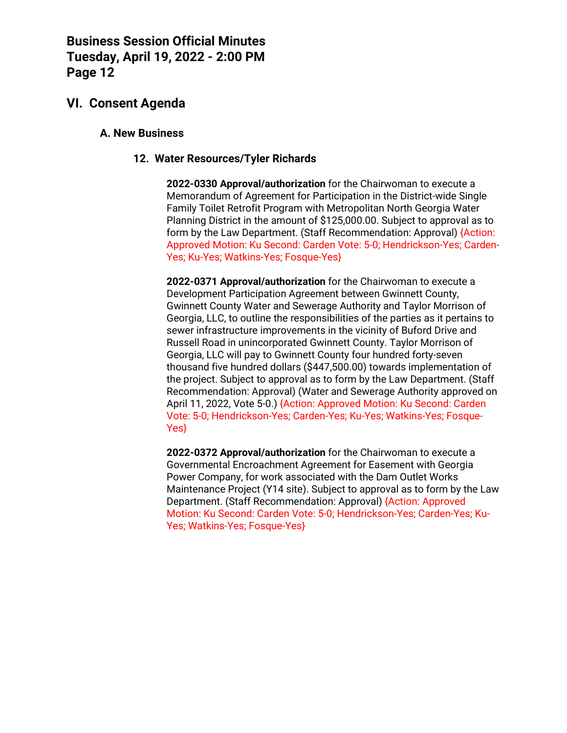# **VI. Consent Agenda**

#### **A. New Business**

#### **12. Water Resources/Tyler Richards**

**2022-0330 Approval/authorization** for the Chairwoman to execute a Memorandum of Agreement for Participation in the District-wide Single Family Toilet Retrofit Program with Metropolitan North Georgia Water Planning District in the amount of \$125,000.00. Subject to approval as to form by the Law Department. (Staff Recommendation: Approval) {Action: Approved Motion: Ku Second: Carden Vote: 5-0; Hendrickson-Yes; Carden-Yes; Ku-Yes; Watkins-Yes; Fosque-Yes}

**2022-0371 Approval/authorization** for the Chairwoman to execute a Development Participation Agreement between Gwinnett County, Gwinnett County Water and Sewerage Authority and Taylor Morrison of Georgia, LLC, to outline the responsibilities of the parties as it pertains to sewer infrastructure improvements in the vicinity of Buford Drive and Russell Road in unincorporated Gwinnett County. Taylor Morrison of Georgia, LLC will pay to Gwinnett County four hundred forty-seven thousand five hundred dollars (\$447,500.00) towards implementation of the project. Subject to approval as to form by the Law Department. (Staff Recommendation: Approval) (Water and Sewerage Authority approved on April 11, 2022, Vote 5-0.) {Action: Approved Motion: Ku Second: Carden Vote: 5-0; Hendrickson-Yes; Carden-Yes; Ku-Yes; Watkins-Yes; Fosque-Yes}

**2022-0372 Approval/authorization** for the Chairwoman to execute a Governmental Encroachment Agreement for Easement with Georgia Power Company, for work associated with the Dam Outlet Works Maintenance Project (Y14 site). Subject to approval as to form by the Law Department. (Staff Recommendation: Approval) {Action: Approved Motion: Ku Second: Carden Vote: 5-0; Hendrickson-Yes; Carden-Yes; Ku-Yes; Watkins-Yes; Fosque-Yes}